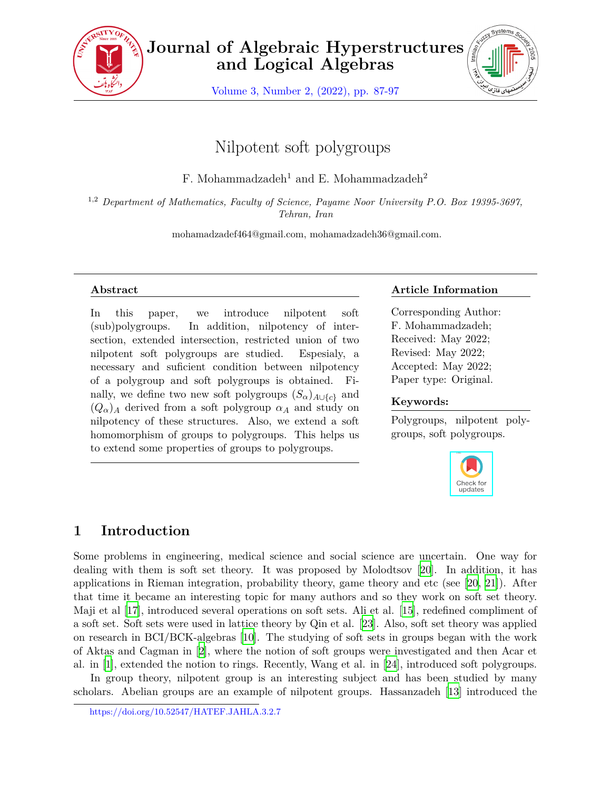

**Journal of Algebraic Hyperstructures and Logical Algebras**

Volume 3, Number 2, (2022), pp. 87-97



# Nilpotent soft polygroups

F. Mohammadzadeh<sup>1</sup> and E. Mohammadzadeh<sup>2</sup>

1,2 *Department of Mathematics, Faculty of Science, Payame Noor University P.O. Box 19395-3697, Tehran, Iran*

mohamadzadef464@gmail.com, mohamadzadeh36@gmail.com.

#### **Abstract**

In this paper, we introduce nilpotent soft (sub)polygroups. In addition, nilpotency of intersection, extended intersection, restricted union of two nilpotent soft polygroups are studied. Espesialy, a necessary and suficient condition between nilpotency of a polygroup and soft polygroups is obtained. Finally, we define two new soft polygroups  $(S_{\alpha})_{A\cup\{c\}}$  and  $(Q_{\alpha})_A$  derived from a soft polygroup  $\alpha_A$  and study on nilpotency of these structures. Also, we extend a soft homomorphism of groups to polygroups. This helps us to extend some properties of groups to polygroups.

#### **Article Information**

Corresponding Author: F. Mohammadzadeh; Received: May 2022; Revised: May 2022; Accepted: May 2022; Paper type: Original.

#### **Keywords:**

Polygroups, nilpotent polygroups, soft polygroups.



## **1 Introduction**

Some problems in engineering, medical science and social science are uncertain. One way for dealing with them is soft set theory. It was proposed by Molodtsov [\[20](#page-10-0)]. In addition, it has applications in Rieman integration, probability theory, game theory and etc (see [\[20](#page-10-0), [21](#page-10-1)]). After that time it became an interesting topic for many authors and so they work on soft set theory. Maji et al [\[17](#page-9-0)], introduced several operations on soft sets. Ali et al. [\[15](#page-9-1)], redefined compliment of a soft set. Soft sets were used in lattice theory by Qin et al. [\[23\]](#page-10-2). Also, soft set theory was applied on research in BCI/BCK-algebras [[10](#page-9-2)]. The studying of soft sets in groups began with the work of Aktas and Cagman in [\[2\]](#page-9-3), where the notion of soft groups were investigated and then Acar et al. in [[1](#page-9-4)], extended the notion to rings. Recently, Wang et al. in [[24\]](#page-10-3), introduced soft polygroups.

In group theory, nilpotent group is an interesting subject and has been studied by many scholars. Abelian groups are an example of nilpotent groups. Hassanzadeh [\[13](#page-9-5)] introduced the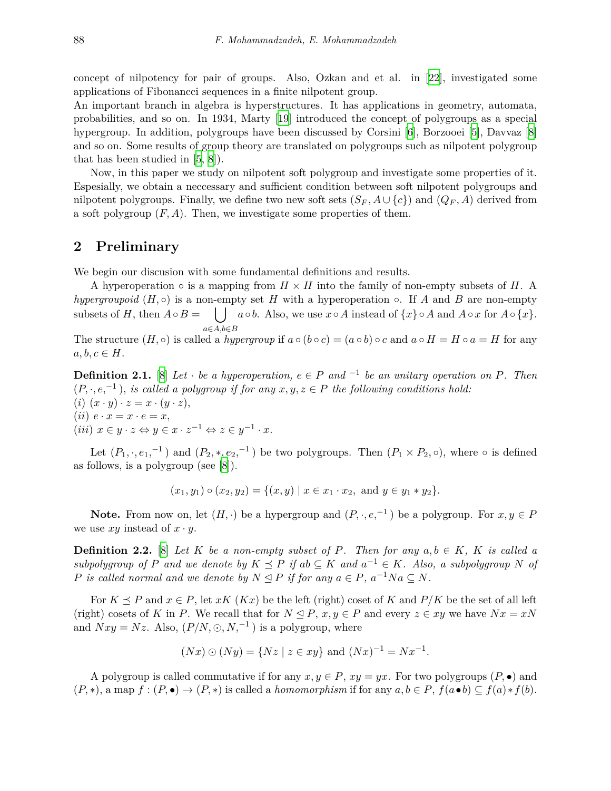concept of nilpotency for pair of groups. Also, Ozkan and et al. in [[22](#page-10-4)], investigated some applications of Fibonancci sequences in a finite nilpotent group.

An important branch in algebra is hyperstructures. It has applications in geometry, automata, probabilities, and so on. In 1934, Marty [[19\]](#page-10-5) introduced the concept of polygroups as a special hypergroup. In addition, polygroups have been discussed by Corsini [[6](#page-9-6)], Borzooei [[5](#page-9-7)], Davvaz [[8](#page-9-8)] and so on. Some results of group theory are translated on polygroups such as nilpotent polygroup that has been studied in [[5](#page-9-7), [8](#page-9-8)]).

Now, in this paper we study on nilpotent soft polygroup and investigate some properties of it. Espesially, we obtain a neccessary and sufficient condition between soft nilpotent polygroups and nilpotent polygroups. Finally, we define two new soft sets  $(S_F, A \cup \{c\})$  and  $(Q_F, A)$  derived from a soft polygroup  $(F, A)$ . Then, we investigate some properties of them.

#### **2 Preliminary**

We begin our discusion with some fundamental definitions and results.

A hyperoperation  $\circ$  is a mapping from  $H \times H$  into the family of non-empty subsets of *H*. A *hypergroupoid*  $(H, \circ)$  is a non-empty set *H* with a hyperoperation  $\circ$ . If *A* and *B* are non-empty subsets of *H*, then  $A \circ B =$  $| \int a \circ b$ . Also, we use  $x \circ A$  instead of  $\{x\} \circ A$  and  $A \circ x$  for  $A \circ \{x\}$ . *a∈A,b∈B*

The structure  $(H, \circ)$  is called a *hypergroup* if  $a \circ (b \circ c) = (a \circ b) \circ c$  and  $a \circ H = H \circ a = H$  for any  $a, b, c \in H$ .

**Definition 2.1.** [[8](#page-9-8)] *Let*  $\cdot$  *be a hyperoperation,*  $e \in P$  *and*  $\frac{-1}{2}$  *be an unitary operation on*  $P$ *. Then*  $(P, \cdot, e,^{-1})$ , *is called a polygroup if for any*  $x, y, z \in P$  *the following conditions hold:*  $(i)$   $(x \cdot y) \cdot z = x \cdot (y \cdot z)$ ,

 $(iii)$   $e \cdot x = x \cdot e = x$ ,  $(iii)$   $x \in y \cdot z \Leftrightarrow y \in x \cdot z^{-1} \Leftrightarrow z \in y^{-1} \cdot x$ .

Let  $(P_1, \cdot, e_1, ^{-1})$  and  $(P_2, \cdot, e_2, ^{-1})$  be two polygroups. Then  $(P_1 \times P_2, \circ)$ , where  $\circ$  is defined as follows, is a polygroup (see [\[8\]](#page-9-8)).

$$
(x_1, y_1) \circ (x_2, y_2) = \{(x, y) \mid x \in x_1 \cdot x_2, \text{ and } y \in y_1 * y_2\}.
$$

**Note.** From now on, let  $(H, \cdot)$  be a hypergroup and  $(P, \cdot, e, ^{-1})$  be a polygroup. For  $x, y \in P$ we use  $xy$  instead of  $x \cdot y$ .

**Definition 2.2.** [\[8\]](#page-9-8) *Let*  $K$  *be a non-empty subset of*  $P$ *. Then for any*  $a, b \in K$ *,*  $K$  *is called a subpolygroup* of *P* and we denote by  $K \preceq P$  if  $ab \subseteq K$  and  $a^{-1} \in K$ . Also, a subpolygroup *N* of *P is called normal and we denote by*  $N \trianglelefteq P$  *if for any*  $a \in P$ *,*  $a^{-1}Na \subseteq N$ *.* 

For  $K \prec P$  and  $x \in P$ , let  $xK(Kx)$  be the left (right) coset of K and  $P/K$  be the set of all left (right) cosets of *K* in *P*. We recall that for  $N \leq P$ ,  $x, y \in P$  and every  $z \in xy$  we have  $Nx = xN$ and  $Nxy = Nz$ . Also,  $(P/N, \odot, N,^{-1})$  is a polygroup, where

$$
(Nx) \odot (Ny) = \{ Nz \mid z \in xy \}
$$
 and  $(Nx)^{-1} = Nx^{-1}$ .

A polygroup is called commutative if for any  $x, y \in P$ ,  $xy = yx$ . For two polygroups  $(P, \bullet)$  and  $(P, *),$  a map  $f: (P, \bullet) \to (P, *)$  is called a *homomorphism* if for any  $a, b \in P$ ,  $f(a \bullet b) \subseteq f(a) * f(b)$ .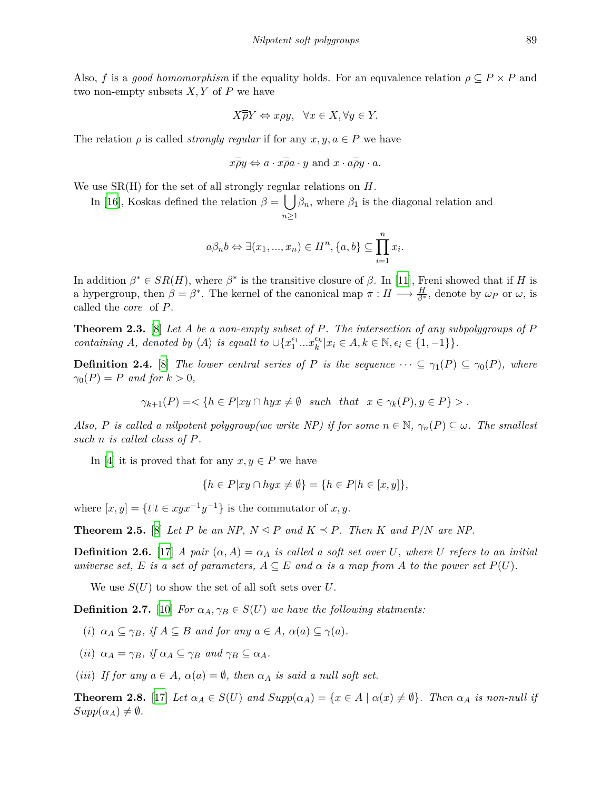Also, *f* is a *good homomorphism* if the equality holds. For an equvalence relation  $\rho \subseteq P \times P$  and two non-empty subsets *X, Y* of *P* we have

$$
X\overline{\overline{\rho}}Y \Leftrightarrow x\rho y, \ \ \forall x \in X, \forall y \in Y.
$$

The relation  $\rho$  is called *strongly regular* if for any  $x, y, a \in P$  we have

$$
x\overline{\overline{\rho}}y \Leftrightarrow a \cdot x\overline{\overline{\rho}}a \cdot y
$$
 and  $x \cdot a\overline{\overline{\rho}}y \cdot a$ .

We use SR(H) for the set of all strongly regular relations on *H*.

In [\[16](#page-9-9)], Koskas defined the relation  $\beta = \int_{0}^{1} \beta_n$ , where  $\beta_1$  is the diagonal relation and *n≥*1

$$
a\beta_n b \Leftrightarrow \exists (x_1, ..., x_n) \in H^n, \{a, b\} \subseteq \prod_{i=1}^n x_i.
$$

In addition  $\beta^* \in SR(H)$ , where  $\beta^*$  is the transitive closure of  $\beta$ . In [[11\]](#page-9-10), Freni showed that if *H* is a hypergroup, then  $\beta = \beta^*$ . The kernel of the canonical map  $\pi : H \longrightarrow \frac{H}{\beta^*}$ , denote by  $\omega_P$  or  $\omega$ , is called the *core* of *P*.

**Theorem 2.3.** [\[8\]](#page-9-8) *Let A be a non-empty subset of P. The intersection of any subpolygroups of P* containing A, denoted by  $\langle A \rangle$  is equall to  $\cup \{x_1^{\epsilon_1} ... x_k^{\epsilon_k} | x_i \in A, k \in \mathbb{N}, \epsilon_i \in \{1, -1\} \}.$ 

**Definition 2.4.** [\[8\]](#page-9-8) *The lower central series of P is the sequence*  $\cdots \subseteq \gamma_1(P) \subseteq \gamma_0(P)$ *, where*  $\gamma_0(P) = P$  *and for*  $k > 0$ *,* 

 $\gamma_{k+1}(P) = \langle \{h \in P | xy \cap hyx \neq \emptyset \} \text{ such that } x \in \gamma_k(P), y \in P \} > 0$ 

*Also, P* is called a nilpotent polygroup(we write NP) if for some  $n \in \mathbb{N}$ ,  $\gamma_n(P) \subseteq \omega$ . The smallest *such n is called class of P.*

In [\[4\]](#page-9-11) it is proved that for any  $x, y \in P$  we have

$$
\{h \in P|xy \cap hyx \neq \emptyset\} = \{h \in P|h \in [x, y]\},\
$$

where  $[x, y] = \{t | t \in xyx^{-1}y^{-1}\}$  is the commutator of *x*, *y*.

<span id="page-2-0"></span>**Theorem 2.5.** [\[8\]](#page-9-8) Let P be an NP,  $N \leq P$  and  $K \leq P$ . Then K and  $P/N$  are NP.

**Definition 2.6.** [\[17](#page-9-0)] *A pair*  $(\alpha, A) = \alpha_A$  *is called a soft set over U, where U refers to an initial universe set,*  $E$  *is a set of parameters,*  $A \subseteq E$  *and*  $\alpha$  *is a map from*  $A$  *to the power set*  $P(U)$ *.* 

We use  $S(U)$  to show the set of all soft sets over U.

**Definition 2.7.** [[10\]](#page-9-2) *For*  $\alpha_A, \gamma_B \in S(U)$  *we have the following statments:* 

- (*i*)  $\alpha_A \subseteq \gamma_B$ , if  $A \subseteq B$  and for any  $a \in A$ ,  $\alpha(a) \subseteq \gamma(a)$ .
- (*ii*)  $\alpha_A = \gamma_B$ , *if*  $\alpha_A \subseteq \gamma_B$  *and*  $\gamma_B \subseteq \alpha_A$ *.*
- (*iii*) If for any  $a \in A$ ,  $\alpha(a) = \emptyset$ , then  $\alpha_A$  is said a null soft set.

<span id="page-2-1"></span>**Theorem 2.8.** [[17\]](#page-9-0) Let  $\alpha_A \in S(U)$  and  $Supp(\alpha_A) = \{x \in A \mid \alpha(x) \neq \emptyset\}$ . Then  $\alpha_A$  is non-null if  $Supp(\alpha_A) \neq \emptyset$ .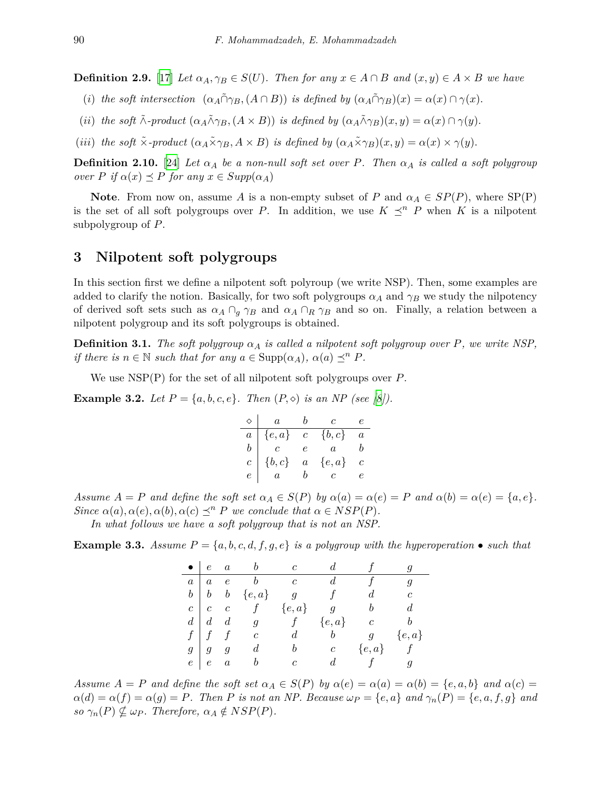<span id="page-3-2"></span>**Definition 2.9.** [[17\]](#page-9-0) Let  $\alpha_A, \gamma_B \in S(U)$ . Then for any  $x \in A \cap B$  and  $(x, y) \in A \times B$  we have

- (i) the soft intersection  $(\alpha_A \tilde{\cap} \gamma_B, (A \cap B))$  is defined by  $(\alpha_A \tilde{\cap} \gamma_B)(x) = \alpha(x) \cap \gamma(x)$ .
- (ii) the soft  $\tilde{\wedge}$ -product  $(\alpha_A \tilde{\wedge} \gamma_B, (A \times B))$  is defined by  $(\alpha_A \tilde{\wedge} \gamma_B)(x, y) = \alpha(x) \cap \gamma(y)$ .
- (iii) the soft  $\tilde{\times}$ -product  $(\alpha_A \tilde{\times} \gamma_B, A \times B)$  is defined by  $(\alpha_A \tilde{\times} \gamma_B)(x, y) = \alpha(x) \times \gamma(y)$ .

**Definition 2.10.** [[24\]](#page-10-3) *Let*  $\alpha_A$  *be a non-null soft set over P. Then*  $\alpha_A$  *is called a soft polygroup*  $over P$  *if*  $\alpha(x) \preceq P$  *for any*  $x \in Supp(\alpha_A)$ 

**Note**. From now on, assume *A* is a non-empty subset of *P* and  $\alpha_A \in SP(P)$ , where  $SP(P)$ is the set of all soft polygroups over *P*. In addition, we use  $K \preceq^n P$  when K is a nilpotent subpolygroup of *P*.

#### **3 Nilpotent soft polygroups**

In this section first we define a nilpotent soft polyroup (we write NSP). Then, some examples are added to clarify the notion. Basically, for two soft polygroups  $\alpha_A$  and  $\gamma_B$  we study the nilpotency of derived soft sets such as  $\alpha_A \cap_q \gamma_B$  and  $\alpha_A \cap_R \gamma_B$  and so on. Finally, a relation between a nilpotent polygroup and its soft polygroups is obtained.

**Definition 3.1.** *The soft polygroup*  $\alpha_A$  *is called a nilpotent soft polygroup over P, we write NSP*, *if there is*  $n \in \mathbb{N}$  *such that for any*  $a \in \text{Supp}(\alpha_A)$ ,  $\alpha(a) \prec^n P$ .

We use NSP(P) for the set of all nilpotent soft polygroups over *P*.

<span id="page-3-0"></span>**Example 3.2.** *Let*  $P = \{a, b, c, e\}$ *. Then*  $(P, \diamond)$  *is an NP (see [[8\]](#page-9-8)).* 

|                | $\boldsymbol{a}$ | b              | $\overline{c}$   | e              |
|----------------|------------------|----------------|------------------|----------------|
| $\frac{a}{b}$  | $\{e,a\}$        |                | $c \{b,c\}$      | $\overline{a}$ |
|                | $\overline{c}$   | e              | $\boldsymbol{a}$ | D              |
| $\overline{c}$ | $\{b,c\}$        | $\overline{a}$ | $\{e,a\}$        |                |
| $\epsilon$     | $\overline{a}$   | b              | $\overline{c}$   |                |

Assume  $A = P$  and define the soft set  $\alpha_A \in S(P)$  by  $\alpha(a) = \alpha(e) = P$  and  $\alpha(b) = \alpha(e) = \{a, e\}.$ *Since*  $\alpha(a), \alpha(e), \alpha(b), \alpha(c) \preceq^n P$  *we conclude that*  $\alpha \in NSP(P)$ *.* 

*In what follows we have a soft polygroup that is not an NSP.*

<span id="page-3-1"></span>**Example 3.3.** *Assume*  $P = \{a, b, c, d, f, g, e\}$  *is a polygroup with the hyperoperation* • *such that* 

| $\bullet$ |                   | $e \quad a \qquad b \qquad c$                                |                |                  |                |            |
|-----------|-------------------|--------------------------------------------------------------|----------------|------------------|----------------|------------|
| a         | $a \quad e$       | $b \qquad c$                                                 |                | $d_{-}$          | f              |            |
|           |                   | $b \mid b \mid b \mid \{e,a\} \qquad g \qquad f \qquad d$    |                |                  |                | $\epsilon$ |
|           |                   | $c \mid c \quad c \qquad f \qquad \{e,a\} \qquad g \qquad b$ |                |                  |                |            |
|           |                   | $d \mid d \mid d \mid g \qquad f \qquad \{e,a\}$             |                |                  | $\overline{c}$ |            |
|           |                   | $f \mid f \quad f \quad c$                                   | d              | $\boldsymbol{b}$ | $g \{e, a\}$   |            |
|           | $g \mid g \mid g$ | $\overline{d}$                                               | b              |                  | $c \{e,a\}$ f  |            |
|           | $e \mid e \mid a$ | $\boldsymbol{b}$                                             | $\overline{c}$ | d                | $f$ g          |            |

Assume  $A = P$  and define the soft set  $\alpha_A \in S(P)$  by  $\alpha(e) = \alpha(a) = \alpha(b) = \{e, a, b\}$  and  $\alpha(c) =$  $\alpha(d) = \alpha(f) = \alpha(g) = P$ . Then P is not an NP. Because  $\omega_P = \{e, a\}$  and  $\gamma_n(P) = \{e, a, f, g\}$  and  $so \gamma_n(P) \nsubseteq \omega_P$ *. Therefore,*  $\alpha_A \notin NSP(P)$ *.*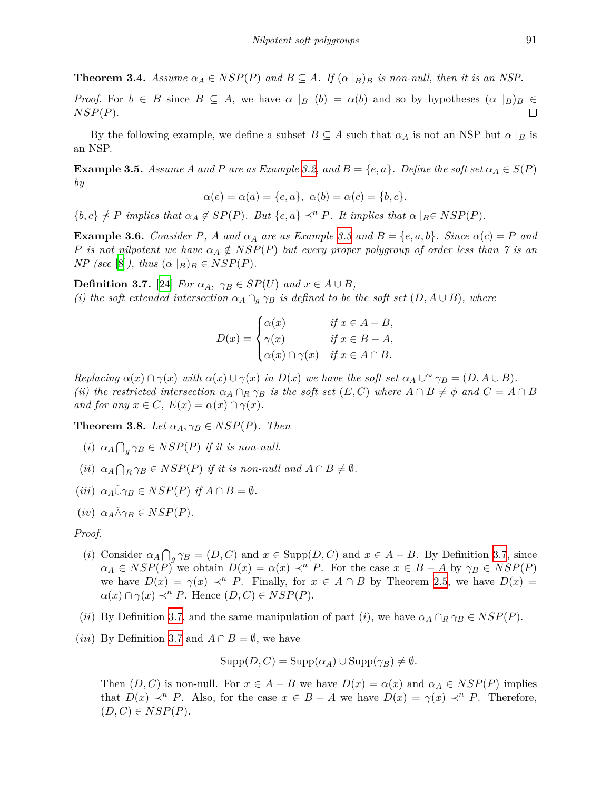**Theorem 3.4.** Assume  $\alpha_A \in NSP(P)$  and  $B \subseteq A$ . If  $(\alpha \mid B)$  is non-null, then it is an NSP.

*Proof.* For  $b \in B$  since  $B \subseteq A$ , we have  $\alpha |B| \ (b) = \alpha(b)$  and so by hypotheses  $(\alpha |B)B \in B$ *NSP*(*P*).  $\Box$ 

By the following example, we define a subset  $B \subseteq A$  such that  $\alpha_A$  is not an NSP but  $\alpha \mid_B$  is an NSP.

**Example 3.5.** *Assume A and P are as Example* [3.2,](#page-3-0) *and*  $B = \{e, a\}$ *. Define the soft set*  $\alpha_A \in S(P)$ *by*

$$
\alpha(e) = \alpha(a) = \{e, a\}, \ \alpha(b) = \alpha(c) = \{b, c\}.
$$

 $\{b,c\} \nleq P$  implies that  $\alpha_A \notin SP(P)$ . But  $\{e,a\} \preceq^n P$ . It implies that  $\alpha |_{B} \in NSP(P)$ .

**Example 3.6.** Consider P, A and  $\alpha_A$  are as Example [3.3](#page-3-1) and  $B = \{e, a, b\}$ . Since  $\alpha(c) = P$  and *P is not nilpotent we have*  $\alpha_A \notin NSP(P)$  *but every proper polygroup of order less than* 7 *is an NP* (see [\[8\]](#page-9-8)), thus  $(\alpha |B)B \in NSP(P)$ .

<span id="page-4-0"></span>**Definition 3.7.** [[24\]](#page-10-3) *For*  $\alpha_A$ ,  $\gamma_B \in SP(U)$  *and*  $x \in A \cup B$ *, (i) the soft extended intersection*  $\alpha_A \cap_q \gamma_B$  *is defined to be the soft set*  $(D, A \cup B)$ *, where* 

$$
D(x) = \begin{cases} \alpha(x) & \text{if } x \in A - B, \\ \gamma(x) & \text{if } x \in B - A, \\ \alpha(x) \cap \gamma(x) & \text{if } x \in A \cap B. \end{cases}
$$

Replacing  $\alpha(x) \cap \gamma(x)$  with  $\alpha(x) \cup \gamma(x)$  in  $D(x)$  we have the soft set  $\alpha_A \cup \gamma_B = (D, A \cup B)$ . (ii) the restricted intersection  $\alpha_A \cap_R \gamma_B$  is the soft set  $(E, C)$  where  $A \cap B \neq \phi$  and  $C = A \cap B$ *and for any*  $x \in C$ *,*  $E(x) = \alpha(x) \cap \gamma(x)$ *.* 

<span id="page-4-1"></span>**Theorem 3.8.** *Let*  $\alpha_A, \gamma_B \in NSP(P)$ *. Then* 

- (*i*)  $\alpha_A \bigcap_g \gamma_B \in NSP(P)$  *if it is non-null.*
- $(ii)$   $\alpha_A \bigcap_R \gamma_B \in NSP(P)$  *if it is non-null and*  $A \cap B \neq \emptyset$ *.*
- $(iii) \ \alpha_A \tilde{\cup} \gamma_B \in NSP(P) \ \text{if } A \cap B = \emptyset.$
- $(iv)$   $\alpha_A \tilde{\wedge} \gamma_B \in NSP(P)$ .

#### *Proof.*

- (*i*) Consider  $\alpha_A \bigcap_g \gamma_B = (D, C)$  and  $x \in \text{Supp}(D, C)$  and  $x \in A B$ . By Definition [3.7](#page-4-0), since  $\alpha_A \in NSP(P)$  we obtain  $D(x) = \alpha(x) \prec^n P$ . For the case  $x \in B - A$  by  $\gamma_B \in NSP(P)$ we have  $D(x) = \gamma(x) \prec^n P$ . Finally, for  $x \in A \cap B$  by Theorem [2.5,](#page-2-0) we have  $D(x) =$  $\alpha(x) \cap \gamma(x) \prec^n P$ . Hence  $(D, C) \in NSP(P)$ .
- (*ii*) By Definition [3.7,](#page-4-0) and the same manipulation of part (*i*), we have  $\alpha_A \cap_R \gamma_B \in NSP(P)$ .
- (*iii*) By Definition [3.7](#page-4-0) and  $A \cap B = \emptyset$ , we have

 $\text{Supp}(D, C) = \text{Supp}(\alpha_A) \cup \text{Supp}(\gamma_B) \neq \emptyset$ .

Then  $(D, C)$  is non-null. For  $x \in A - B$  we have  $D(x) = \alpha(x)$  and  $\alpha_A \in NSP(P)$  implies that  $D(x) \prec^n P$ . Also, for the case  $x \in B - A$  we have  $D(x) = \gamma(x) \prec^n P$ . Therefore,  $(D, C) \in NSP(P).$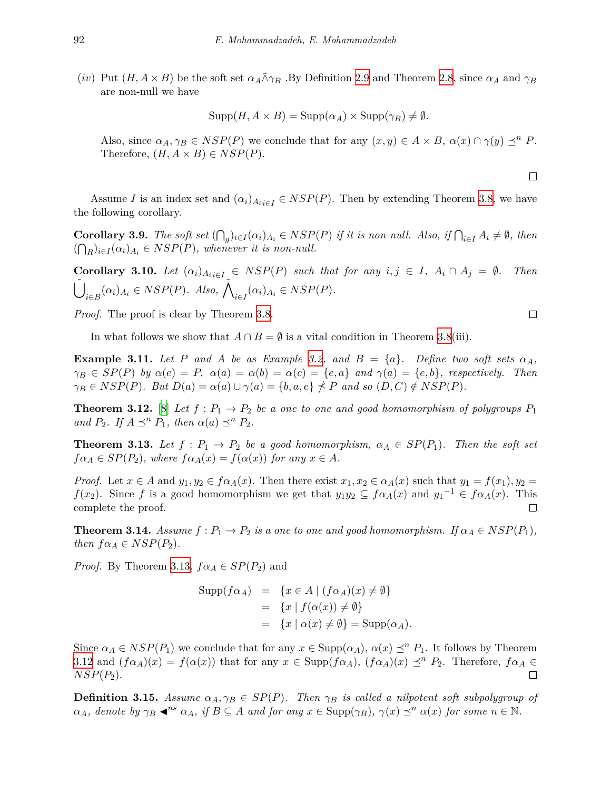(*iv*) Put  $(H, A \times B)$  be the soft set  $\alpha_A \tilde{\wedge} \gamma_B$ . By Definition [2.9](#page-3-2) and Theorem [2.8](#page-2-1), since  $\alpha_A$  and  $\gamma_B$ are non-null we have

$$
Supp(H, A \times B) = Supp(\alpha_A) \times Supp(\gamma_B) \neq \emptyset.
$$

Also, since  $\alpha_A, \gamma_B \in NSP(P)$  we conclude that for any  $(x, y) \in A \times B$ ,  $\alpha(x) \cap \gamma(y) \preceq^n P$ . Therefore,  $(H, A \times B) \in NSP(P)$ .

Assume *I* is an index set and  $(\alpha_i)_{A_i \in I} \in NSP(P)$ . Then by extending Theorem [3.8](#page-4-1), we have the following corollary.

**Corollary 3.9.** The soft set  $(\bigcap_{g})_{i\in I}(\alpha_i)_{A_i} \in NSP(P)$  if it is non-null. Also, if  $\bigcap_{i\in I}A_i \neq \emptyset$ , then  $((\bigcap_R)_{i \in I} (\alpha_i)_{A_i} \in NSP(P)$ , whenever it is non-null.

**Corollary 3.10.** Let  $(\alpha_i)_{A_{i,i\in I}} \in NSP(P)$  such that for any  $i, j \in I$ ,  $A_i \cap A_j = \emptyset$ . Then ∪˜  $\tilde{A}_{i\in B}(\alpha_i)_{A_i} \in NSP(P)$ *. Also,*  $\tilde{\bigwedge}_{i\in I}(\alpha_i)_{A_i} \in NSP(P)$ *.* 

*Proof.* The proof is clear by Theorem [3.8](#page-4-1).

In what follows we show that  $A \cap B = \emptyset$  is a vital condition in Theorem [3.8\(](#page-4-1)iii).

**Example 3.11.** *Let P and A be as Example* [3.2](#page-3-0), and  $B = \{a\}$ *. Define two soft sets*  $\alpha_A$ *,*  $\gamma_B \in SP(P)$  by  $\alpha(e) = P$ ,  $\alpha(a) = \alpha(b) = \alpha(c) = \{e, a\}$  and  $\gamma(a) = \{e, b\}$ , respectively. Then  $\gamma_B \in NSP(P)$ . But  $D(a) = \alpha(a) \cup \gamma(a) = \{b, a, e\} \nleq P$  and so  $(D, C) \notin NSP(P)$ .

<span id="page-5-1"></span>**Theorem 3.12.** [\[8\]](#page-9-8) Let  $f: P_1 \to P_2$  be a one to one and good homomorphism of polygroups  $P_1$ *and*  $P_2$ *. If*  $A \preceq^n P_1$ *, then*  $\alpha(a) \preceq^n P_2$ *.* 

<span id="page-5-0"></span>**Theorem 3.13.** Let  $f: P_1 \to P_2$  be a good homomorphism,  $\alpha_A \in SP(P_1)$ . Then the soft set  $f\alpha_A \in SP(P_2)$ *, where*  $f\alpha_A(x) = f(\alpha(x))$  *for any*  $x \in A$ *.* 

*Proof.* Let  $x \in A$  and  $y_1, y_2 \in f\alpha_A(x)$ . Then there exist  $x_1, x_2 \in \alpha_A(x)$  such that  $y_1 = f(x_1), y_2 = f(x_2)$ *f*(*x*<sub>2</sub>). Since *f* is a good homomorphism we get that  $y_1y_2 \subseteq f\alpha_A(x)$  and  $y_1^{-1} \in f\alpha_A(x)$ . This complete the proof.  $\Box$ 

**Theorem 3.14.** *Assume*  $f: P_1 \to P_2$  *is a one to one and good homomorphism.* If  $\alpha_A \in NSP(P_1)$ *, then*  $f \alpha_A \in NSP(P_2)$ *.* 

*Proof.* By Theorem [3.13](#page-5-0),  $f \alpha_A \in SP(P_2)$  and

$$
\text{Supp}(f\alpha_A) = \{x \in A \mid (f\alpha_A)(x) \neq \emptyset\}
$$
  
= 
$$
\{x \mid f(\alpha(x)) \neq \emptyset\}
$$
  
= 
$$
\{x \mid \alpha(x) \neq \emptyset\} = \text{Supp}(\alpha_A).
$$

Since  $\alpha_A \in NSP(P_1)$  we conclude that for any  $x \in \text{Supp}(\alpha_A)$ ,  $\alpha(x) \preceq^n P_1$ . It follows by Theorem [3.12](#page-5-1) and  $(f\alpha_A)(x) = f(\alpha(x))$  that for any  $x \in \text{Supp}(f\alpha_A)$ ,  $(f\alpha_A)(x) \preceq^n P_2$ . Therefore,  $f\alpha_A \in$ *NSP*(*P*2).  $\Box$ 

**Definition 3.15.** Assume  $\alpha_A, \gamma_B \in SP(P)$ . Then  $\gamma_B$  is called a nilpotent soft subpolygroup of  $\alpha_A$ , denote by  $\gamma_B \blacktriangleleft^{ns} \alpha_A$ , if  $B \subseteq A$  and for any  $x \in \text{Supp}(\gamma_B)$ ,  $\gamma(x) \preceq^n \alpha(x)$  for some  $n \in \mathbb{N}$ .

 $\Box$ 

 $\Box$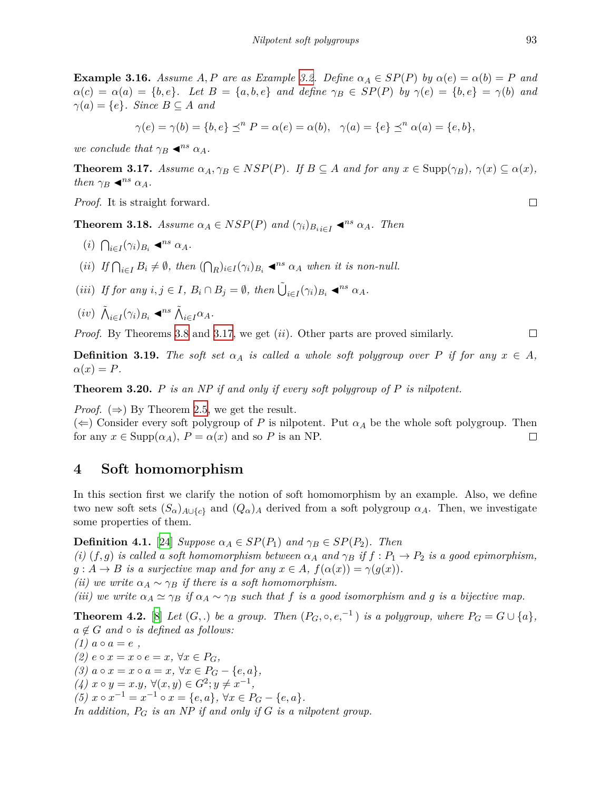**Example 3.16.** Assume A, P are as Example [3.2](#page-3-0). Define  $\alpha_A \in SP(P)$  by  $\alpha(e) = \alpha(b) = P$  and  $\alpha(c) = \alpha(a) = \{b, e\}.$  Let  $B = \{a, b, e\}$  and define  $\gamma_B \in SP(P)$  by  $\gamma(e) = \{b, e\} = \gamma(b)$  and  $\gamma(a) = \{e\}$ *. Since*  $B \subseteq A$  *and* 

$$
\gamma(e) = \gamma(b) = \{b, e\} \preceq^n P = \alpha(e) = \alpha(b), \ \ \gamma(a) = \{e\} \preceq^n \alpha(a) = \{e, b\},
$$

*we conclude that*  $\gamma_B \blacktriangleleft^{ns} \alpha_A$ *.* 

<span id="page-6-0"></span>**Theorem 3.17.** Assume  $\alpha_A, \gamma_B \in NSP(P)$ . If  $B \subseteq A$  and for any  $x \in \text{Supp}(\gamma_B)$ ,  $\gamma(x) \subseteq \alpha(x)$ , *then*  $\gamma_B \blacktriangleleft^{ns} \alpha_A$ *.* 

*Proof.* It is straight forward.

**Theorem 3.18.** *Assume*  $\alpha_A \in NSP(P)$  *and*  $(\gamma_i)_{B_i} \in I$   $\blacktriangle^{ns} \alpha_A$ *. Then* 

- $(i)$   $\bigcap_{i \in I} (\gamma_i)_{B_i} \blacktriangleleft^{ns} \alpha_A.$
- (ii) If  $\bigcap_{i\in I} B_i \neq \emptyset$ , then  $(\bigcap_R)_{i\in I} (\gamma_i)_{B_i} \triangleleft^{ns} \alpha_A$  when it is non-null.
- (iii) If for any  $i, j \in I$ ,  $B_i \cap B_j = \emptyset$ , then  $\tilde{\bigcup}_{i \in I} (\gamma_i)_{B_i} \blacktriangleleft^{ns} \alpha_A$ .
- $(iv)$   $\tilde{\bigwedge}_{i \in I} (\gamma_i)_{B_i} \triangleleft^{ns} \tilde{\bigwedge}_{i \in I} \alpha_A$ .

*Proof.* By Theorems [3.8](#page-4-1) and [3.17,](#page-6-0) we get (*ii*). Other parts are proved similarly.

**Definition 3.19.** *The soft set*  $\alpha_A$  *is called a whole soft polygroup over P if for any*  $x \in A$ *,*  $\alpha(x) = P$ *.* 

<span id="page-6-3"></span>**Theorem 3.20.** *P is an NP if and only if every soft polygroup of P is nilpotent.*

*Proof.*  $(\Rightarrow)$  By Theorem [2.5](#page-2-0), we get the result.

 $(\Leftarrow)$  Consider every soft polygroup of *P* is nilpotent. Put  $\alpha_A$  be the whole soft polygroup. Then for any  $x \in \text{Supp}(\alpha_A)$ ,  $P = \alpha(x)$  and so P is an NP.  $\Box$ 

### **4 Soft homomorphism**

In this section first we clarify the notion of soft homomorphism by an example. Also, we define two new soft sets  $(S_\alpha)_{A\cup\{c\}}$  and  $(Q_\alpha)_A$  derived from a soft polygroup  $\alpha_A$ . Then, we investigate some properties of them.

<span id="page-6-2"></span>**Definition 4.1.** [[24\]](#page-10-3) *Suppose*  $\alpha_A \in SP(P_1)$  *and*  $\gamma_B \in SP(P_2)$ *. Then* 

*(i)*  $(f, g)$  *is called a soft homomorphism between*  $\alpha_A$  *and*  $\gamma_B$  *if*  $f : P_1 \to P_2$  *is a good epimorphism,*  $g: A \to B$  *is a surjective map and for any*  $x \in A$ ,  $f(\alpha(x)) = \gamma(g(x))$ .

*(ii)* we write  $\alpha_A \sim \gamma_B$  *if there is a soft homomorphism.* 

*(iii)* we write  $\alpha_A \simeq \gamma_B$  *if*  $\alpha_A \sim \gamma_B$  such that f is a good isomorphism and g is a bijective map.

<span id="page-6-1"></span>**Theorem 4.2.** [[8](#page-9-8)] *Let*  $(G,.)$  *be a group. Then*  $(P_G, \circ, e,^{-1})$  *is a polygroup, where*  $P_G = G \cup \{a\}$ *,*  $a \notin G$  *and*  $\circ$  *is defined as follows:* 

 $(1)$   $a \circ a = e$ , *(2)*  $e \circ x = x \circ e = x$ ,  $\forall x \in P_G$ ,  $(3)$   $a \circ x = x \circ a = x$ ,  $\forall x \in P_G - \{e, a\}$ ,  $(4)$   $x \circ y = x \cdot y, \forall (x, y) \in G^2; y \neq x^{-1},$  $(5)$   $x \circ x^{-1} = x^{-1} \circ x = \{e, a\}, \forall x \in P_G - \{e, a\}.$ *In addition, P<sup>G</sup> is an NP if and only if G is a nilpotent group.*  $\Box$ 

 $\Box$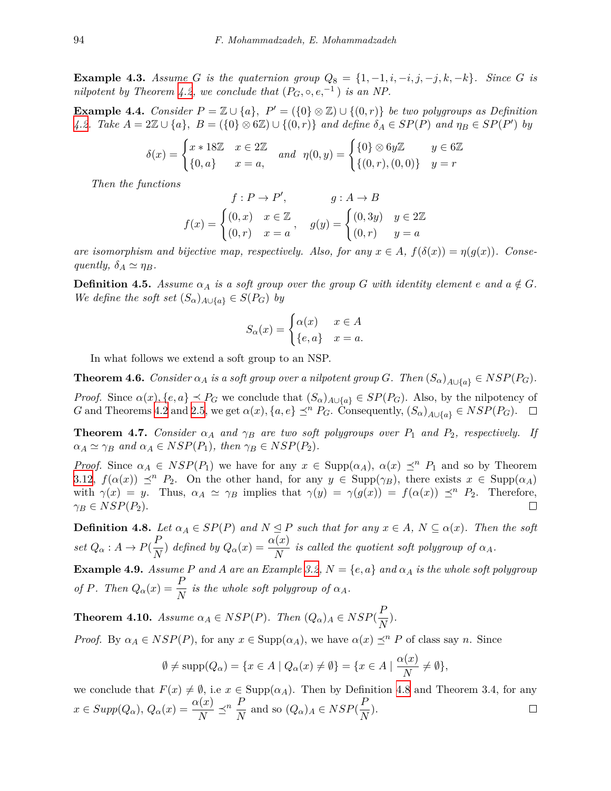**Example 4.3.** Assume G is the quaternion group  $Q_8 = \{1, -1, i, -i, j, -j, k, -k\}$ *. Since* G is *nilpotent by Theorem [4.2,](#page-6-1) we conclude that*  $(P_G, \circ, e, ^{-1})$  *is an NP.* 

**Example 4.4.** *Consider*  $P = \mathbb{Z} \cup \{a\}$ ,  $P' = (\{0\} \otimes \mathbb{Z}) \cup \{(0,r)\}$  *be two polygroups as Definition* [4.2](#page-6-1). Take  $A = 2\mathbb{Z} \cup \{a\}$ ,  $B = (\{0\} \otimes 6\mathbb{Z}) \cup \{(0,r)\}$  and define  $\delta_A \in SP(P)$  and  $\eta_B \in SP(P')$  by

$$
\delta(x) = \begin{cases} x * 18\mathbb{Z} & x \in 2\mathbb{Z} \\ \{0, a\} & x = a, \end{cases} \text{ and } \eta(0, y) = \begin{cases} \{0\} \otimes 6y\mathbb{Z} & y \in 6\mathbb{Z} \\ \{(0, r), (0, 0)\} & y = r \end{cases}
$$

*Then the functions*

$$
f: P \to P', \qquad g: A \to B
$$

$$
f(x) = \begin{cases} (0, x) & x \in \mathbb{Z} \\ (0, r) & x = a \end{cases}, \qquad g(y) = \begin{cases} (0, 3y) & y \in 2\mathbb{Z} \\ (0, r) & y = a \end{cases}
$$

*are isomorphism and bijective map, respectively. Also, for any*  $x \in A$ ,  $f(\delta(x)) = \eta(g(x))$ *. Consequently,*  $\delta_A \simeq \eta_B$ *.* 

**Definition 4.5.** Assume  $\alpha_A$  is a soft group over the group G with identity element  $e$  and  $a \notin G$ . *We define the soft set*  $(S_{\alpha})_{A \cup \{a\}} \in S(P_G)$  *by* 

$$
S_{\alpha}(x) = \begin{cases} \alpha(x) & x \in A \\ \{e, a\} & x = a. \end{cases}
$$

In what follows we extend a soft group to an NSP.

<span id="page-7-3"></span>**Theorem 4.6.** *Consider*  $\alpha_A$  *is a soft group over a nilpotent group G. Then*  $(S_{\alpha})_{A \cup \{a\}} \in NSP(P_G)$ *. Proof.* Since  $\alpha(x)$ ,  $\{e, a\} \preceq P_G$  we conclude that  $(S_\alpha)_{A \cup \{a\}} \in SP(P_G)$ . Also, by the nilpotency of

G and Theorems [4.2](#page-6-1) and [2.5](#page-2-0), we get  $\alpha(x)$ ,  $\{a, e\} \preceq^{n} P_G$ . Consequently,  $(S_{\alpha})_{A \cup \{a\}} \in NSP(P_G)$ .  $\Box$ 

<span id="page-7-1"></span>**Theorem 4.7.** *Consider*  $\alpha_A$  *and*  $\gamma_B$  *are two soft polygroups over*  $P_1$  *and*  $P_2$ *, respectively. If*  $\alpha_A \simeq \gamma_B$  *and*  $\alpha_A \in NSP(P_1)$ *, then*  $\gamma_B \in NSP(P_2)$ *.* 

*Proof.* Since  $\alpha_A \in NSP(P_1)$  we have for any  $x \in \text{Supp}(\alpha_A)$ ,  $\alpha(x) \preceq^n P_1$  and so by Theorem [3.12](#page-5-1),  $f(\alpha(x)) \leq^n P_2$ . On the other hand, for any  $y \in \text{Supp}(\gamma_B)$ , there exists  $x \in \text{Supp}(\alpha_A)$ with  $\gamma(x) = y$ . Thus,  $\alpha_A \simeq \gamma_B$  implies that  $\gamma(y) = \gamma(g(x)) = f(\alpha(x)) \preceq^n P_2$ . Therefore,  $\gamma_B \in NSP(P_2)$ .  $\Box$ 

<span id="page-7-0"></span>**Definition 4.8.** Let  $\alpha_A \in SP(P)$  and  $N \leq P$  such that for any  $x \in A$ ,  $N \subseteq \alpha(x)$ . Then the soft *set*  $Q_{\alpha}: A \rightarrow P(\frac{P}{\alpha})$  $\frac{P}{N}$ ) *defined by*  $Q_{\alpha}(x) = \frac{\alpha(x)}{N}$  *is called the quotient soft polygroup of*  $\alpha_A$ *.* 

**Example 4.9.** *Assume P and A are an Example* [3.2,](#page-3-0)  $N = \{e, a\}$  *and*  $\alpha_A$  *is the whole soft polygroup of P.* Then  $Q_{\alpha}(x) = \frac{P}{N}$  is the whole soft polygroup of  $\alpha_A$ .

<span id="page-7-2"></span>**Theorem 4.10.** *Assume*  $\alpha_A \in NSP(P)$ *. Then*  $(Q_\alpha)_A \in NSP(\frac{P}{\alpha})$  $\frac{1}{N}$ ).

*Proof.* By  $\alpha_A \in NSP(P)$ , for any  $x \in \text{Supp}(\alpha_A)$ , we have  $\alpha(x) \preceq^n P$  of class say *n*. Since

$$
\emptyset \neq \text{supp}(Q_{\alpha}) = \{x \in A \mid Q_{\alpha}(x) \neq \emptyset\} = \{x \in A \mid \frac{\alpha(x)}{N} \neq \emptyset\},\
$$

we conclude that  $F(x) \neq \emptyset$ , i.e  $x \in \text{Supp}(\alpha_A)$ . Then by Definition [4.8](#page-7-0) and Theorem 3.4, for any  $x \in Supp(Q_\alpha), Q_\alpha(x) = \frac{\alpha(x)}{N} \preceq^n \frac{P}{N}$  and so  $(Q_\alpha)_A \in NSP(\frac{P}{N})$  $\frac{1}{N}$ ).  $\Box$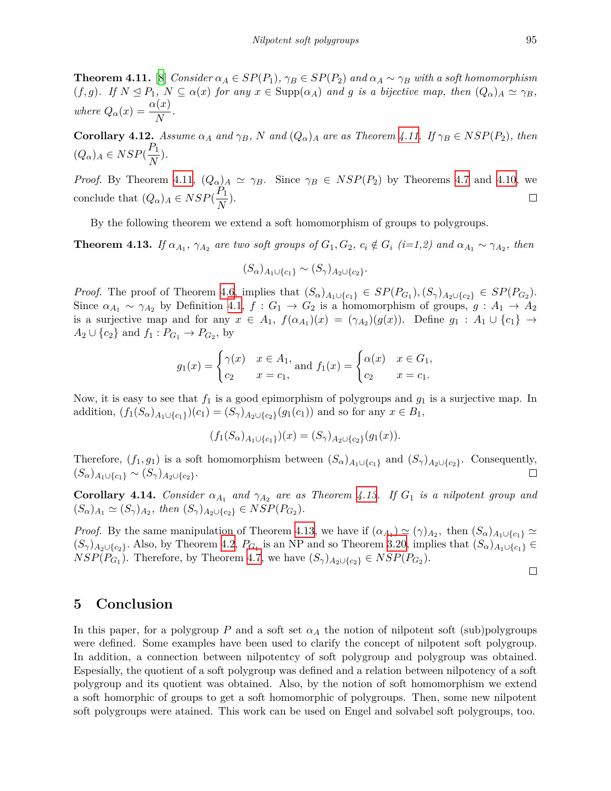<span id="page-8-0"></span>**Theorem 4.11.** [[8](#page-9-8)] Consider  $\alpha_A \in SP(P_1)$ ,  $\gamma_B \in SP(P_2)$  and  $\alpha_A \sim \gamma_B$  with a soft homomorphism  $(f,g)$ . If  $N \le P_1$ ,  $N \subseteq \alpha(x)$  for any  $x \in \text{Supp}(\alpha_A)$  and g is a bijective map, then  $(Q_\alpha)_A \simeq \gamma_B$ , *where*  $Q_{\alpha}(x) = \frac{\alpha(x)}{N}$ .

**Corollary 4.12.** Assume  $\alpha_A$  and  $\gamma_B$ , N and  $(Q_\alpha)_A$  are as Theorem [4.11.](#page-8-0) If  $\gamma_B \in NSP(P_2)$ , then  $(Q_{\alpha})_A \in NSP(\frac{P_1}{N})$  $\frac{1}{N}$ ).

*Proof.* By Theorem [4.11](#page-8-0),  $(Q_{\alpha})_A \simeq \gamma_B$ . Since  $\gamma_B \in NSP(P_2)$  by Theorems [4.7](#page-7-1) and [4.10](#page-7-2), we conclude that  $(Q_{\alpha})_A \in NSP(\frac{P_1}{N})$  $\frac{1}{N}$ ).  $\Box$ 

By the following theorem we extend a soft homomorphism of groups to polygroups.

<span id="page-8-1"></span>**Theorem 4.13.** If  $\alpha_{A_1}$ ,  $\gamma_{A_2}$  are two soft groups of  $G_1, G_2, c_i \notin G_i$  (i=1,2) and  $\alpha_{A_1} \sim \gamma_{A_2}$ , then

$$
(S_{\alpha})_{A_1 \cup \{c_1\}} \sim (S_{\gamma})_{A_2 \cup \{c_2\}}.
$$

*Proof.* The proof of Theorem [4.6,](#page-7-3) implies that  $(S_{\alpha})_{A_1 \cup \{c_1\}} \in SP(P_{G_1}), (S_{\gamma})_{A_2 \cup \{c_2\}} \in SP(P_{G_2}).$ Since  $\alpha_{A_1} \sim \gamma_{A_2}$  by Definition [4.1](#page-6-2),  $f: G_1 \to G_2$  is a homomorphism of groups,  $g: A_1 \to A_2$ is a surjective map and for any  $x \in A_1$ ,  $f(\alpha_{A_1})(x) = (\gamma_{A_2})(g(x))$ . Define  $g_1 : A_1 \cup \{c_1\} \to$  $A_2 \cup \{c_2\}$  and  $f_1 : P_{G_1} \to P_{G_2}$ , by

$$
g_1(x) = \begin{cases} \gamma(x) & x \in A_1, \\ c_2 & x = c_1, \end{cases}
$$
 and  $f_1(x) = \begin{cases} \alpha(x) & x \in G_1, \\ c_2 & x = c_1. \end{cases}$ 

Now, it is easy to see that  $f_1$  is a good epimorphism of polygroups and  $g_1$  is a surjective map. In  $\text{addition}, (f_1(S_\alpha)_{A_1 \cup \{c_1\}})(c_1) = (S_\gamma)_{A_2 \cup \{c_2\}}(g_1(c_1))$  and so for any  $x \in B_1$ ,

$$
(f_1(S_{\alpha})_{A_1 \cup \{c_1\}})(x) = (S_{\gamma})_{A_2 \cup \{c_2\}}(g_1(x)).
$$

Therefore,  $(f_1, g_1)$  is a soft homomorphism between  $(S_\alpha)_{A_1 \cup \{c_1\}}$  and  $(S_\gamma)_{A_2 \cup \{c_2\}}$ . Consequently,  $(S_{\alpha})_{A_1 \cup \{c_1\}} \sim (S_{\gamma})_{A_2 \cup \{c_2\}}.$ П

**Corollary 4.14.** *Consider*  $\alpha_{A_1}$  *and*  $\gamma_{A_2}$  *are as Theorem [4.13.](#page-8-1) If*  $G_1$  *is a nilpotent group and*  $(S_{\alpha})_{A_1} \simeq (S_{\gamma})_{A_2}, \text{ then } (S_{\gamma})_{A_2 \cup \{c_2\}} \in NSP(P_{G_2}).$ 

*Proof.* By the same manipulation of Theorem [4.13](#page-8-1), we have if  $(\alpha_{A_1}) \simeq (\gamma)_{A_2}$ , then  $(S_{\alpha})_{A_1 \cup \{c_1\}} \simeq$  $(S_{\gamma})_{A_2 \cup \{c_2\}}$ . Also, by Theorem [4.2,](#page-6-1)  $P_{G_1}$  is an NP and so Theorem [3.20](#page-6-3), implies that  $(S_{\alpha})_{A_1 \cup \{c_1\}} \in$  $NSP(P_{G_1})$ . Therefore, by Theorem [4.7,](#page-7-1) we have  $(S_{\gamma})_{A_2 \cup \{c_2\}} \in NSP(P_{G_2})$ .

 $\Box$ 

#### **5 Conclusion**

In this paper, for a polygroup *P* and a soft set  $\alpha_A$  the notion of nilpotent soft (sub)polygroups were defined. Some examples have been used to clarify the concept of nilpotent soft polygroup. In addition, a connection between nilpotentcy of soft polygroup and polygroup was obtained. Espesially, the quotient of a soft polygroup was defined and a relation between nilpotency of a soft polygroup and its quotient was obtained. Also, by the notion of soft homomorphism we extend a soft homorphic of groups to get a soft homomorphic of polygroups. Then, some new nilpotent soft polygroups were atained. This work can be used on Engel and solvabel soft polygroups, too.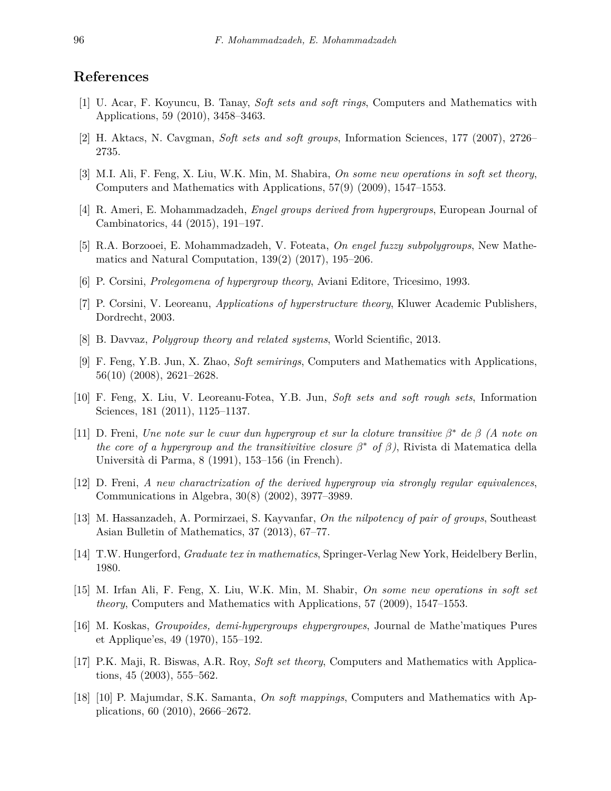### **References**

- <span id="page-9-4"></span>[1] U. Acar, F. Koyuncu, B. Tanay, *Soft sets and soft rings*, Computers and Mathematics with Applications, 59 (2010), 3458–3463.
- <span id="page-9-3"></span>[2] H. Aktacs, N. Cavgman, *Soft sets and soft groups*, Information Sciences, 177 (2007), 2726– 2735.
- [3] M.I. Ali, F. Feng, X. Liu, W.K. Min, M. Shabira, *On some new operations in soft set theory*, Computers and Mathematics with Applications, 57(9) (2009), 1547–1553.
- <span id="page-9-11"></span>[4] R. Ameri, E. Mohammadzadeh, *Engel groups derived from hypergroups*, European Journal of Cambinatorics, 44 (2015), 191–197.
- <span id="page-9-7"></span>[5] R.A. Borzooei, E. Mohammadzadeh, V. Foteata, *On engel fuzzy subpolygroups*, New Mathematics and Natural Computation, 139(2) (2017), 195–206.
- <span id="page-9-6"></span>[6] P. Corsini, *Prolegomena of hypergroup theory*, Aviani Editore, Tricesimo, 1993.
- [7] P. Corsini, V. Leoreanu, *Applications of hyperstructure theory*, Kluwer Academic Publishers, Dordrecht, 2003.
- <span id="page-9-8"></span>[8] B. Davvaz, *Polygroup theory and related systems*, World Scientific, 2013.
- [9] F. Feng, Y.B. Jun, X. Zhao, *Soft semirings*, Computers and Mathematics with Applications, 56(10) (2008), 2621–2628.
- <span id="page-9-2"></span>[10] F. Feng, X. Liu, V. Leoreanu-Fotea, Y.B. Jun, *Soft sets and soft rough sets*, Information Sciences, 181 (2011), 1125–1137.
- <span id="page-9-10"></span>[11] D. Freni, *Une note sur le cuur dun hypergroup et sur la cloture transitive β <sup>∗</sup> de β (A note on the core of a hypergroup and the transitivitive closure*  $\beta^*$  *of*  $\beta$ ), Rivista di Matematica della Università di Parma, 8 (1991), 153–156 (in French).
- [12] D. Freni, *A new charactrization of the derived hypergroup via strongly regular equivalences*, Communications in Algebra, 30(8) (2002), 3977–3989.
- <span id="page-9-5"></span>[13] M. Hassanzadeh, A. Pormirzaei, S. Kayvanfar, *On the nilpotency of pair of groups*, Southeast Asian Bulletin of Mathematics, 37 (2013), 67–77.
- [14] T.W. Hungerford, *Graduate tex in mathematics*, Springer-Verlag New York, Heidelbery Berlin, 1980.
- <span id="page-9-1"></span>[15] M. Irfan Ali, F. Feng, X. Liu, W.K. Min, M. Shabir, *On some new operations in soft set theory*, Computers and Mathematics with Applications, 57 (2009), 1547–1553.
- <span id="page-9-9"></span>[16] M. Koskas, *Groupoides, demi-hypergroups ehypergroupes*, Journal de Mathe'matiques Pures et Applique'es, 49 (1970), 155–192.
- <span id="page-9-0"></span>[17] P.K. Maji, R. Biswas, A.R. Roy, *Soft set theory*, Computers and Mathematics with Applications, 45 (2003), 555–562.
- [18] [10] P. Majumdar, S.K. Samanta, *On soft mappings*, Computers and Mathematics with Applications, 60 (2010), 2666–2672.